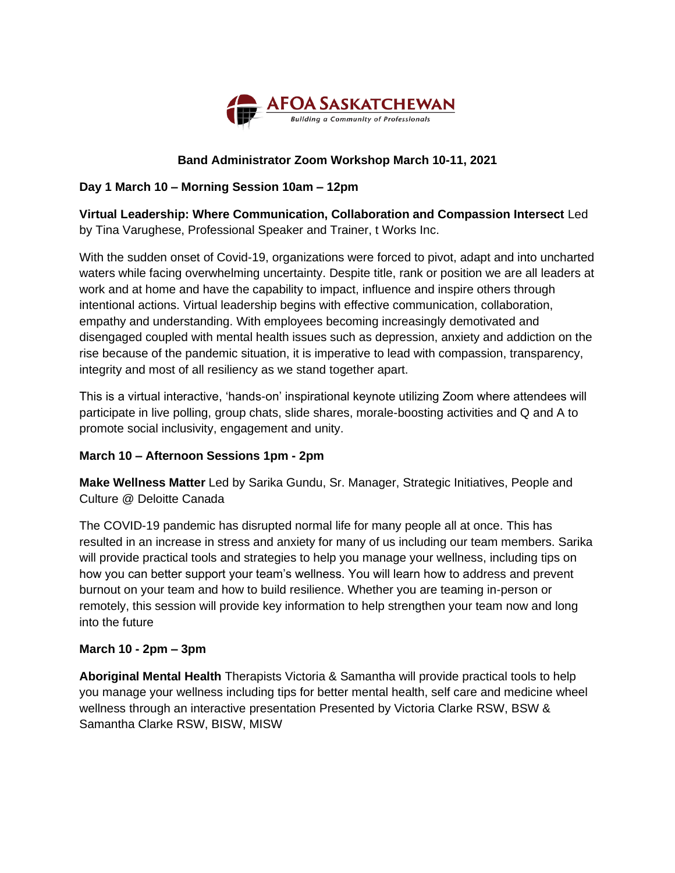

# **Band Administrator Zoom Workshop March 10-11, 2021**

## **Day 1 March 10 – Morning Session 10am – 12pm**

**Virtual Leadership: Where Communication, Collaboration and Compassion Intersect** Led by Tina Varughese, Professional Speaker and Trainer, t Works Inc.

With the sudden onset of Covid-19, organizations were forced to pivot, adapt and into uncharted waters while facing overwhelming uncertainty. Despite title, rank or position we are all leaders at work and at home and have the capability to impact, influence and inspire others through intentional actions. Virtual leadership begins with effective communication, collaboration, empathy and understanding. With employees becoming increasingly demotivated and disengaged coupled with mental health issues such as depression, anxiety and addiction on the rise because of the pandemic situation, it is imperative to lead with compassion, transparency, integrity and most of all resiliency as we stand together apart.

This is a virtual interactive, 'hands-on' inspirational keynote utilizing Zoom where attendees will participate in live polling, group chats, slide shares, morale-boosting activities and Q and A to promote social inclusivity, engagement and unity.

#### **March 10 – Afternoon Sessions 1pm - 2pm**

**Make Wellness Matter** Led by Sarika Gundu, Sr. Manager, Strategic Initiatives, People and Culture @ Deloitte Canada

The COVID-19 pandemic has disrupted normal life for many people all at once. This has resulted in an increase in stress and anxiety for many of us including our team members. Sarika will provide practical tools and strategies to help you manage your wellness, including tips on how you can better support your team's wellness. You will learn how to address and prevent burnout on your team and how to build resilience. Whether you are teaming in-person or remotely, this session will provide key information to help strengthen your team now and long into the future

#### **March 10 - 2pm – 3pm**

**Aboriginal Mental Health** Therapists Victoria & Samantha will provide practical tools to help you manage your wellness including tips for better mental health, self care and medicine wheel wellness through an interactive presentation Presented by Victoria Clarke RSW, BSW & Samantha Clarke RSW, BISW, MISW